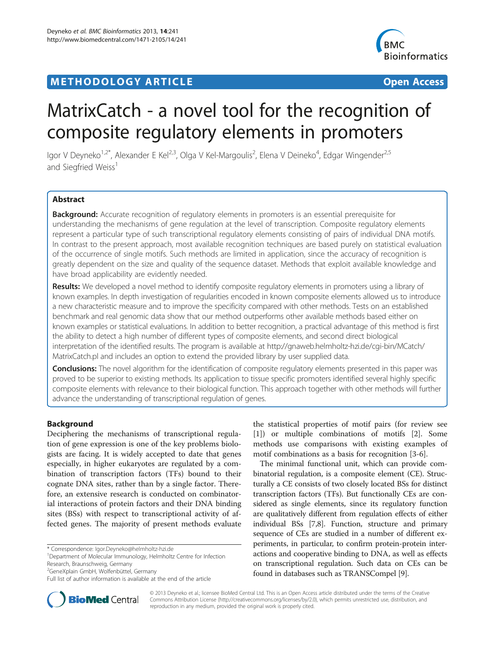# **METHODOLOGY ARTICLE CONSUMING ACCESS**



# MatrixCatch - a novel tool for the recognition of composite regulatory elements in promoters

lgor V Deyneko<sup>1,2\*</sup>, Alexander E Kel<sup>2,3</sup>, Olga V Kel-Margoulis<sup>2</sup>, Elena V Deineko<sup>4</sup>, Edgar Wingender<sup>2,5</sup> and Siegfried Weiss<sup>1</sup>

# Abstract

**Background:** Accurate recognition of regulatory elements in promoters is an essential prerequisite for understanding the mechanisms of gene regulation at the level of transcription. Composite regulatory elements represent a particular type of such transcriptional regulatory elements consisting of pairs of individual DNA motifs. In contrast to the present approach, most available recognition techniques are based purely on statistical evaluation of the occurrence of single motifs. Such methods are limited in application, since the accuracy of recognition is greatly dependent on the size and quality of the sequence dataset. Methods that exploit available knowledge and have broad applicability are evidently needed.

Results: We developed a novel method to identify composite regulatory elements in promoters using a library of known examples. In depth investigation of regularities encoded in known composite elements allowed us to introduce a new characteristic measure and to improve the specificity compared with other methods. Tests on an established benchmark and real genomic data show that our method outperforms other available methods based either on known examples or statistical evaluations. In addition to better recognition, a practical advantage of this method is first the ability to detect a high number of different types of composite elements, and second direct biological interpretation of the identified results. The program is available at [http://gnaweb.helmholtz-hzi.de/cgi-bin/MCatch/](http://gnaweb.helmholtz-hzi.de/cgi-bin/MCatch/MatrixCatch.pl) [MatrixCatch.pl](http://gnaweb.helmholtz-hzi.de/cgi-bin/MCatch/MatrixCatch.pl) and includes an option to extend the provided library by user supplied data.

Conclusions: The novel algorithm for the identification of composite regulatory elements presented in this paper was proved to be superior to existing methods. Its application to tissue specific promoters identified several highly specific composite elements with relevance to their biological function. This approach together with other methods will further advance the understanding of transcriptional regulation of genes.

# Background

Deciphering the mechanisms of transcriptional regulation of gene expression is one of the key problems biologists are facing. It is widely accepted to date that genes especially, in higher eukaryotes are regulated by a combination of transcription factors (TFs) bound to their cognate DNA sites, rather than by a single factor. Therefore, an extensive research is conducted on combinatorial interactions of protein factors and their DNA binding sites (BSs) with respect to transcriptional activity of affected genes. The majority of present methods evaluate

\* Correspondence: [Igor.Deyneko@helmholtz-hzi.de](mailto:Igor.Deyneko@helmholtz-hzi.de) <sup>1</sup>

2 GeneXplain GmbH, Wolfenbüttel, Germany

the statistical properties of motif pairs (for review see [[1\]](#page-8-0)) or multiple combinations of motifs [\[2](#page-8-0)]. Some methods use comparisons with existing examples of motif combinations as a basis for recognition [\[3](#page-8-0)-[6\]](#page-8-0).

The minimal functional unit, which can provide combinatorial regulation, is a composite element (CE). Structurally a CE consists of two closely located BSs for distinct transcription factors (TFs). But functionally CEs are considered as single elements, since its regulatory function are qualitatively different from regulation effects of either individual BSs [[7,8\]](#page-8-0). Function, structure and primary sequence of CEs are studied in a number of different experiments, in particular, to confirm protein-protein interactions and cooperative binding to DNA, as well as effects on transcriptional regulation. Such data on CEs can be found in databases such as TRANSCompel [\[9](#page-8-0)].



© 2013 Deyneko et al.; licensee BioMed Central Ltd. This is an Open Access article distributed under the terms of the Creative Commons Attribution License [\(http://creativecommons.org/licenses/by/2.0\)](http://creativecommons.org/licenses/by/2.0), which permits unrestricted use, distribution, and reproduction in any medium, provided the original work is properly cited.

Department of Molecular Immunology, Helmholtz Centre for Infection Research, Braunschweig, Germany

Full list of author information is available at the end of the article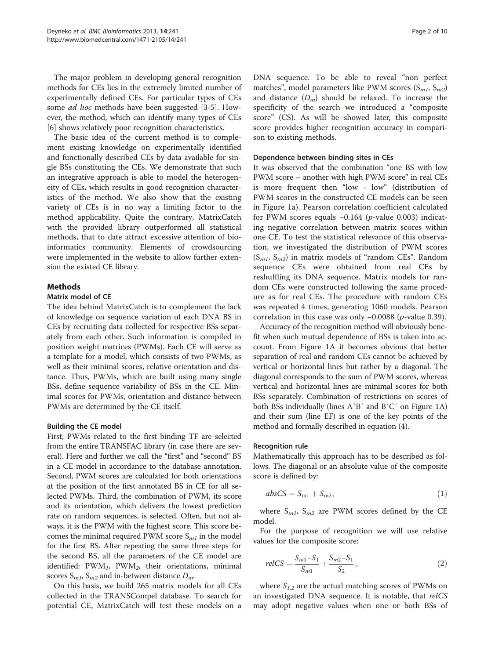The major problem in developing general recognition methods for CEs lies in the extremely limited number of experimentally defined CEs. For particular types of CEs some *ad hoc* methods have been suggested [[3-5](#page-8-0)]. However, the method, which can identify many types of CEs [[6\]](#page-8-0) shows relatively poor recognition characteristics.

The basic idea of the current method is to complement existing knowledge on experimentally identified and functionally described CEs by data available for single BSs constituting the CEs. We demonstrate that such an integrative approach is able to model the heterogeneity of CEs, which results in good recognition characteristics of the method. We also show that the existing variety of CEs is in no way a limiting factor to the method applicability. Quite the contrary, MatrixCatch with the provided library outperformed all statistical methods, that to date attract excessive attention of bioinformatics community. Elements of crowdsourcing were implemented in the website to allow further extension the existed CE library.

# Methods

# Matrix model of CE

The idea behind MatrixCatch is to complement the lack of knowledge on sequence variation of each DNA BS in CEs by recruiting data collected for respective BSs separately from each other. Such information is compiled in position weight matrices (PWMs). Each CE will serve as a template for a model, which consists of two PWMs, as well as their minimal scores, relative orientation and distance. Thus, PWMs, which are built using many single BSs, define sequence variability of BSs in the CE. Minimal scores for PWMs, orientation and distance between PWMs are determined by the CE itself.

# Building the CE model

First, PWMs related to the first binding TF are selected from the entire TRANSFAC library (in case there are several). Here and further we call the "first" and "second" BS in a CE model in accordance to the database annotation. Second, PWM scores are calculated for both orientations at the position of the first annotated BS in CE for all selected PWMs. Third, the combination of PWM, its score and its orientation, which delivers the lowest prediction rate on random sequences, is selected. Often, but not always, it is the PWM with the highest score. This score becomes the minimal required PWM score  $S_{ml}$  in the model for the first BS. After repeating the same three steps for the second BS, all the parameters of the CE model are identified:  $PWM_1$ ,  $PWM_2$ , their orientations, minimal scores  $S_{m1}$ ,  $S_{m2}$  and in-between distance  $D_m$ .

On this basis, we build 265 matrix models for all CEs collected in the TRANSCompel database. To search for potential CE, MatrixCatch will test these models on a

DNA sequence. To be able to reveal "non perfect matches", model parameters like PWM scores  $(S_{m1}, S_{m2})$ and distance  $(D_m)$  should be relaxed. To increase the specificity of the search we introduced a "composite score" (CS). As will be showed later, this composite score provides higher recognition accuracy in comparison to existing methods.

#### Dependence between binding sites in CEs

It was observed that the combination "one BS with low PWM score – another with high PWM score" in real CEs is more frequent then "low - low" (distribution of PWM scores in the constructed CE models can be seen in Figure [1](#page-2-0)a). Pearson correlation coefficient calculated for PWM scores equals  $-0.164$  (*p*-value 0.003) indicating negative correlation between matrix scores within one CE. To test the statistical relevance of this observation, we investigated the distribution of PWM scores  $(S_{m1}, S_{m2})$  in matrix models of "random CEs". Random sequence CEs were obtained from real CEs by reshuffling its DNA sequence. Matrix models for random CEs were constructed following the same procedure as for real CEs. The procedure with random CEs was repeated 4 times, generating 1060 models. Pearson correlation in this case was only −0.0088 (p-value 0.39).

Accuracy of the recognition method will obviously benefit when such mutual dependence of BSs is taken into account. From Figure [1A](#page-2-0) it becomes obvious that better separation of real and random CEs cannot be achieved by vertical or horizontal lines but rather by a diagonal. The diagonal corresponds to the sum of PWM scores, whereas vertical and horizontal lines are minimal scores for both BSs separately. Combination of restrictions on scores of both BSs individually (lines A′B′ and B′C′ on Figure [1A](#page-2-0)) and their sum (line EF) is one of the key points of the method and formally described in equation (4).

# Recognition rule

Mathematically this approach has to be described as follows. The diagonal or an absolute value of the composite score is defined by:

$$
absCS = S_{m1} + S_{m2},\tag{1}
$$

where  $S_{m1}$ ,  $S_{m2}$  are PWM scores defined by the CE model.

For the purpose of recognition we will use relative values for the composite score:

$$
relCS = \frac{S_{m1} - S_1}{S_{m1}} + \frac{S_{m2} - S_1}{S_2},\tag{2}
$$

where  $S_{1,2}$  are the actual matching scores of PWMs on an investigated DNA sequence. It is notable, that relCS may adopt negative values when one or both BSs of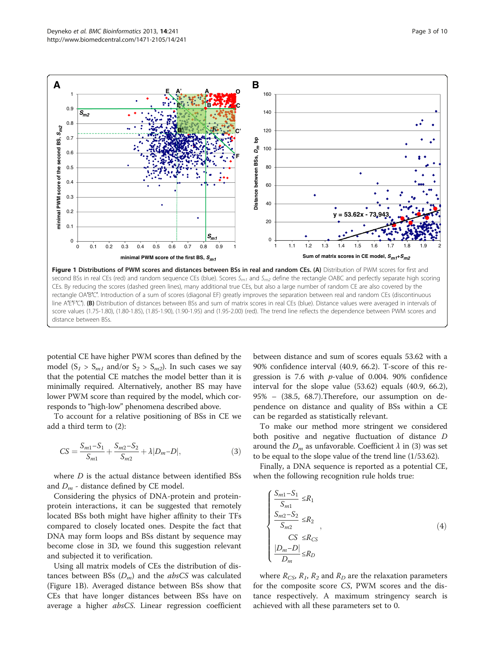<span id="page-2-0"></span>

potential CE have higher PWM scores than defined by the model  $(S_1 > S_{m1}$  and/or  $S_2 > S_{m2}$ ). In such cases we say that the potential CE matches the model better than it is minimally required. Alternatively, another BS may have lower PWM score than required by the model, which corresponds to "high-low" phenomena described above.

To account for a relative positioning of BSs in CE we add a third term to (2):

$$
CS = \frac{S_{m1} - S_1}{S_{m1}} + \frac{S_{m2} - S_2}{S_{m2}} + \lambda |D_m - D|,
$$
\n(3)

where  $D$  is the actual distance between identified BSs and  $D_m$  - distance defined by CE model.

Considering the physics of DNA-protein and proteinprotein interactions, it can be suggested that remotely located BSs both might have higher affinity to their TFs compared to closely located ones. Despite the fact that DNA may form loops and BSs distant by sequence may become close in 3D, we found this suggestion relevant and subjected it to verification.

Using all matrix models of CEs the distribution of distances between BSs  $(D_m)$  and the *absCS* was calculated (Figure 1B). Averaged distance between BSs show that CEs that have longer distances between BSs have on average a higher absCS. Linear regression coefficient

between distance and sum of scores equals 53.62 with a 90% confidence interval (40.9, 66.2). T-score of this regression is 7.6 with p-value of 0.004. 90% confidence interval for the slope value (53.62) equals (40.9, 66.2), 95% – (38.5, 68.7).Therefore, our assumption on dependence on distance and quality of BSs within a CE can be regarded as statistically relevant.

To make our method more stringent we considered both positive and negative fluctuation of distance D around the  $D_m$  as unfavorable. Coefficient  $\lambda$  in (3) was set to be equal to the slope value of the trend line (1/53.62).

Finally, a DNA sequence is reported as a potential CE, when the following recognition rule holds true:

$$
\begin{cases}\n\frac{S_{m1} - S_1}{S_{m1}} \le R_1 \\
\frac{S_{m2} - S_2}{S_{m2}} \le R_2 \\
\frac{CS}{S_{m2}} \le R_{CS} \\
\frac{|D_m - D|}{D_m} \le R_D\n\end{cases}
$$
\n(4)

where  $R_{CS}$ ,  $R_1$ ,  $R_2$  and  $R_D$  are the relaxation parameters for the composite score CS, PWM scores and the distance respectively. A maximum stringency search is achieved with all these parameters set to 0.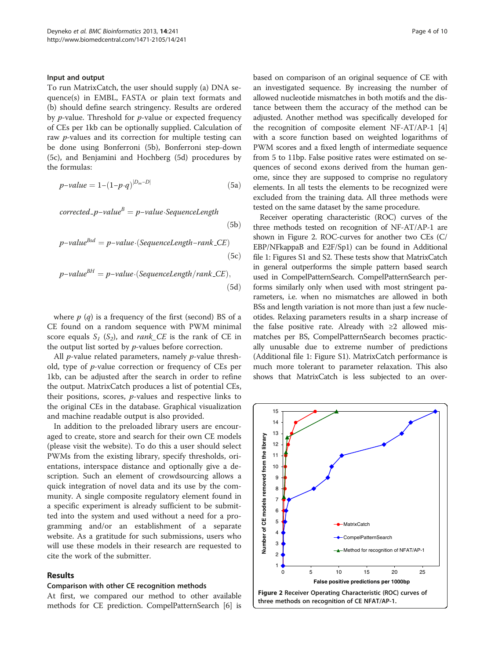#### <span id="page-3-0"></span>Input and output

To run MatrixCatch, the user should supply (a) DNA sequence(s) in EMBL, FASTA or plain text formats and (b) should define search stringency. Results are ordered by  $p$ -value. Threshold for  $p$ -value or expected frequency of CEs per 1kb can be optionally supplied. Calculation of raw *p*-values and its correction for multiple testing can be done using Bonferroni (5b), Bonferroni step-down (5c), and Benjamini and Hochberg (5d) procedures by the formulas:

$$
p-value = 1 - (1 - p \cdot q)^{|D_m - D|} \tag{5a}
$$

$$
corrected\_p-valueB = p-value\cdot SequenceLength
$$
\n(5b)  
\n
$$
p-valueBsd = p-value\cdot(SequenceLength-rank\_CE)
$$
\n(5c)

$$
p-value^{BH} = p-value \cdot (SequenceLength/rank\_CE),
$$
\n(5d)

where  $p$  (q) is a frequency of the first (second) BS of a CE found on a random sequence with PWM minimal score equals  $S_1$  (S<sub>2</sub>), and *rank* CE is the rank of CE in the output list sorted by p-values before correction.

All  $p$ -value related parameters, namely  $p$ -value threshold, type of p-value correction or frequency of CEs per 1kb, can be adjusted after the search in order to refine the output. MatrixCatch produces a list of potential CEs, their positions, scores, p-values and respective links to the original CEs in the database. Graphical visualization and machine readable output is also provided.

In addition to the preloaded library users are encouraged to create, store and search for their own CE models (please visit the website). To do this a user should select PWMs from the existing library, specify thresholds, orientations, interspace distance and optionally give a description. Such an element of crowdsourcing allows a quick integration of novel data and its use by the community. A single composite regulatory element found in a specific experiment is already sufficient to be submitted into the system and used without a need for a programming and/or an establishment of a separate website. As a gratitude for such submissions, users who will use these models in their research are requested to cite the work of the submitter.

# Results

#### Comparison with other CE recognition methods

At first, we compared our method to other available methods for CE prediction. CompelPatternSearch [[6](#page-8-0)] is based on comparison of an original sequence of CE with an investigated sequence. By increasing the number of allowed nucleotide mismatches in both motifs and the distance between them the accuracy of the method can be adjusted. Another method was specifically developed for the recognition of composite element NF-AT/AP-1 [[4](#page-8-0)] with a score function based on weighted logarithms of PWM scores and a fixed length of intermediate sequence from 5 to 11bp. False positive rates were estimated on sequences of second exons derived from the human genome, since they are supposed to comprise no regulatory elements. In all tests the elements to be recognized were excluded from the training data. All three methods were tested on the same dataset by the same procedure.

Receiver operating characteristic (ROC) curves of the three methods tested on recognition of NF-AT/AP-1 are shown in Figure 2. ROC-curves for another two CEs (C/ EBP/NFkappaB and E2F/Sp1) can be found in Additional file [1:](#page-8-0) Figures S1 and S2. These tests show that MatrixCatch in general outperforms the simple pattern based search used in CompelPatternSearch. CompelPatternSearch performs similarly only when used with most stringent parameters, i.e. when no mismatches are allowed in both BSs and length variation is not more than just a few nucleotides. Relaxing parameters results in a sharp increase of the false positive rate. Already with  $\geq 2$  allowed mismatches per BS, CompelPatternSearch becomes practically unusable due to extreme number of predictions (Additional file [1](#page-8-0): Figure S1). MatrixCatch performance is much more tolerant to parameter relaxation. This also shows that MatrixCatch is less subjected to an over-

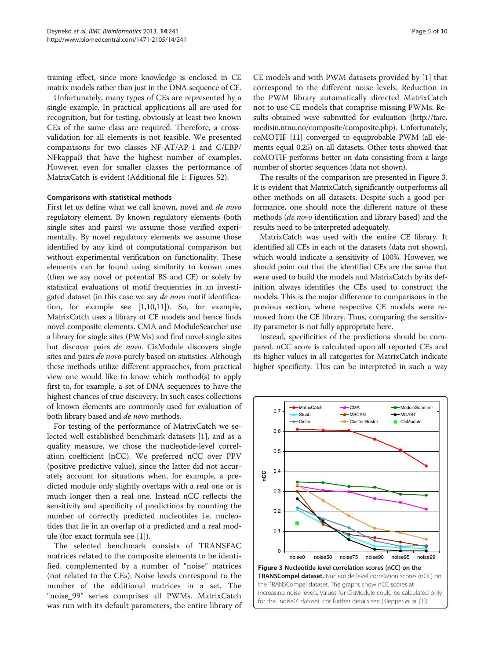training effect, since more knowledge is enclosed in CE matrix models rather than just in the DNA sequence of CE.

Unfortunately, many types of CEs are represented by a single example. In practical applications all are used for recognition, but for testing, obviously at least two known CEs of the same class are required. Therefore, a crossvalidation for all elements is not feasible. We presented comparisons for two classes NF-AT/AP-1 and C/EBP/ NFkappaB that have the highest number of examples. However, even for smaller classes the performance of MatrixCatch is evident (Additional file [1:](#page-8-0) Figures S2).

# Comparisons with statistical methods

First let us define what we call known, novel and de novo regulatory element. By known regulatory elements (both single sites and pairs) we assume those verified experimentally. By novel regulatory elements we assume those identified by any kind of computational comparison but without experimental verification on functionality. These elements can be found using similarity to known ones (then we say novel or potential BS and CE) or solely by statistical evaluations of motif frequencies in an investigated dataset (in this case we say de novo motif identification, for example see [\[1,10,11\]](#page-8-0)). So, for example, MatrixCatch uses a library of CE models and hence finds novel composite elements. CMA and ModuleSearcher use a library for single sites (PWMs) and find novel single sites but discover pairs de novo. CisModule discovers single sites and pairs *de novo* purely based on statistics. Although these methods utilize different approaches, from practical view one would like to know which method(s) to apply first to, for example, a set of DNA sequences to have the highest chances of true discovery. In such cases collections of known elements are commonly used for evaluation of both library based and de novo methods.

For testing of the performance of MatrixCatch we selected well established benchmark datasets [[1\]](#page-8-0), and as a quality measure, we chose the nucleotide-level correlation coefficient (nCC). We preferred nCC over PPV (positive predictive value), since the latter did not accurately account for situations when, for example, a predicted module only slightly overlaps with a real one or is much longer then a real one. Instead nCC reflects the sensitivity and specificity of predictions by counting the number of correctly predicted nucleotides i.e. nucleotides that lie in an overlap of a predicted and a real module (for exact formula see [[1\]](#page-8-0)).

The selected benchmark consists of TRANSFAC matrices related to the composite elements to be identified, complemented by a number of "noise" matrices (not related to the CEs). Noise levels correspond to the number of the additional matrices in a set. The "noise\_99" series comprises all PWMs. MatrixCatch was run with its default parameters, the entire library of CE models and with PWM datasets provided by [\[1](#page-8-0)] that correspond to the different noise levels. Reduction in the PWM library automatically directed MatrixCatch not to use CE models that comprise missing PWMs. Results obtained were submitted for evaluation ([http://tare.](http://tare.medisin.ntnu.no/composite/composite.php) [medisin.ntnu.no/composite/composite.php\)](http://tare.medisin.ntnu.no/composite/composite.php). Unfortunately, coMOTIF [\[11](#page-8-0)] converged to equiprobable PWM (all elements equal 0.25) on all datasets. Other tests showed that coMOTIF performs better on data consisting from a large number of shorter sequences (data not shown).

The results of the comparison are presented in Figure 3. It is evident that MatrixCatch significantly outperforms all other methods on all datasets. Despite such a good performance, one should note the different nature of these methods (de novo identification and library based) and the results need to be interpreted adequately.

MatrixCatch was used with the entire CE library. It identified all CEs in each of the datasets (data not shown), which would indicate a sensitivity of 100%. However, we should point out that the identified CEs are the same that were used to build the models and MatrixCatch by its definition always identifies the CEs used to construct the models. This is the major difference to comparisons in the previous section, where respective CE models were removed from the CE library. Thus, comparing the sensitivity parameter is not fully appropriate here.

Instead, specificities of the predictions should be compared. nCC score is calculated upon all reported CEs and its higher values in all categories for MatrixCatch indicate higher specificity. This can be interpreted in such a way

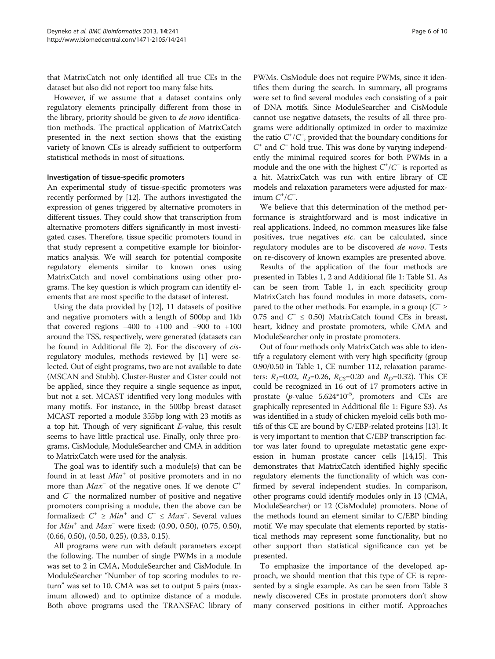that MatrixCatch not only identified all true CEs in the dataset but also did not report too many false hits.

However, if we assume that a dataset contains only regulatory elements principally different from those in the library, priority should be given to de novo identification methods. The practical application of MatrixCatch presented in the next section shows that the existing variety of known CEs is already sufficient to outperform statistical methods in most of situations.

# Investigation of tissue-specific promoters

An experimental study of tissue-specific promoters was recently performed by [\[12](#page-8-0)]. The authors investigated the expression of genes triggered by alternative promoters in different tissues. They could show that transcription from alternative promoters differs significantly in most investigated cases. Therefore, tissue specific promoters found in that study represent a competitive example for bioinformatics analysis. We will search for potential composite regulatory elements similar to known ones using MatrixCatch and novel combinations using other programs. The key question is which program can identify elements that are most specific to the dataset of interest.

Using the data provided by [\[12\]](#page-8-0), 11 datasets of positive and negative promoters with a length of 500bp and 1kb that covered regions  $-400$  to  $+100$  and  $-900$  to  $+100$ around the TSS, respectively, were generated (datasets can be found in Additional file [2](#page-8-0)). For the discovery of cisregulatory modules, methods reviewed by [[1\]](#page-8-0) were selected. Out of eight programs, two are not available to date (MSCAN and Stubb). Cluster-Buster and Cister could not be applied, since they require a single sequence as input, but not a set. MCAST identified very long modules with many motifs. For instance, in the 500bp breast dataset MCAST reported a module 355bp long with 23 motifs as a top hit. Though of very significant E-value, this result seems to have little practical use. Finally, only three programs, CisModule, ModuleSearcher and CMA in addition to MatrixCatch were used for the analysis.

The goal was to identify such a module(s) that can be found in at least  $Min<sup>+</sup>$  of positive promoters and in no more than  $Max^-$  of the negative ones. If we denote  $C^+$ and  $C^-$  the normalized number of positive and negative promoters comprising a module, then the above can be formalized:  $C^+ \geq Min^+$  and  $C^- \leq Max^-$ . Several values for  $Min^+$  and  $Max^-$  were fixed: (0.90, 0.50), (0.75, 0.50), (0.66, 0.50), (0.50, 0.25), (0.33, 0.15).

All programs were run with default parameters except the following. The number of single PWMs in a module was set to 2 in CMA, ModuleSearcher and CisModule. In ModuleSearcher "Number of top scoring modules to return" was set to 10. CMA was set to output 5 pairs (maximum allowed) and to optimize distance of a module. Both above programs used the TRANSFAC library of

PWMs. CisModule does not require PWMs, since it identifies them during the search. In summary, all programs were set to find several modules each consisting of a pair of DNA motifs. Since ModuleSearcher and CisModule cannot use negative datasets, the results of all three programs were additionally optimized in order to maximize the ratio  $C^*/C$ , provided that the boundary conditions for  $C^+$  and  $C^-$  hold true. This was done by varying independently the minimal required scores for both PWMs in a module and the one with the highest  $C^{\dagger}/C^-$  is reported as a hit. MatrixCatch was run with entire library of CE models and relaxation parameters were adjusted for maximum  $C^{\dagger}/C^-$ .

We believe that this determination of the method performance is straightforward and is most indicative in real applications. Indeed, no common measures like false positives, true negatives etc. can be calculated, since regulatory modules are to be discovered de novo. Tests on re-discovery of known examples are presented above.

Results of the application of the four methods are presented in Tables [1, 2](#page-6-0) and Additional file [1](#page-8-0): Table S1. As can be seen from Table [1,](#page-6-0) in each specificity group MatrixCatch has found modules in more datasets, compared to the other methods. For example, in a group ( $C^* \geq$ 0.75 and  $C^- \le 0.50$ ) MatrixCatch found CEs in breast, heart, kidney and prostate promoters, while CMA and ModuleSearcher only in prostate promoters.

Out of four methods only MatrixCatch was able to identify a regulatory element with very high specificity (group 0.90/0.50 in Table [1](#page-6-0), CE number 112, relaxation parameters:  $R_1$ =0.02,  $R_2$ =0.26,  $R_{CS}$ =0.20 and  $R_D$ =0.32). This CE could be recognized in 16 out of 17 promoters active in prostate ( $p$ -value 5.624\*10<sup>-5</sup>, promoters and CEs are graphically represented in Additional file [1:](#page-8-0) Figure S3). As was identified in a study of chicken myeloid cells both motifs of this CE are bound by C/EBP-related proteins [[13](#page-8-0)]. It is very important to mention that C/EBP transcription factor was later found to upregulate metastatic gene expression in human prostate cancer cells [\[14,15](#page-9-0)]. This demonstrates that MatrixCatch identified highly specific regulatory elements the functionality of which was confirmed by several independent studies. In comparison, other programs could identify modules only in 13 (CMA, ModuleSearcher) or 12 (CisModule) promoters. None of the methods found an element similar to C/EBP binding motif. We may speculate that elements reported by statistical methods may represent some functionality, but no other support than statistical significance can yet be presented.

To emphasize the importance of the developed approach, we should mention that this type of CE is represented by a single example. As can be seen from Table [3](#page-7-0) newly discovered CEs in prostate promoters don't show many conserved positions in either motif. Approaches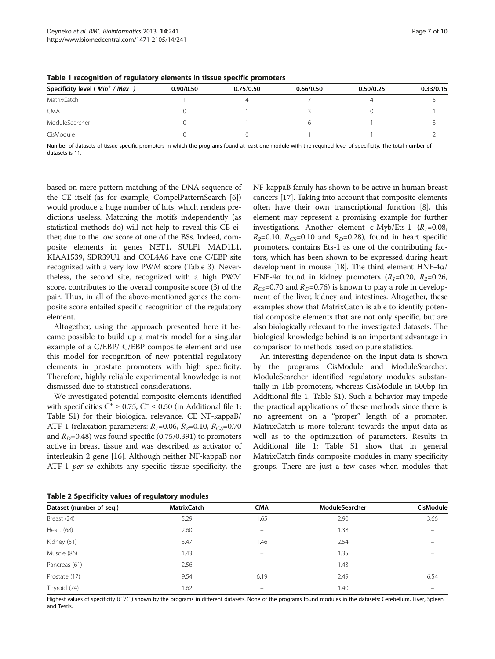| Specificity level (Min <sup>+</sup> / Max <sup>-</sup> ) | 0.90/0.50 | 0.75/0.50 | 0.66/0.50 | 0.50/0.25 | 0.33/0.15 |
|----------------------------------------------------------|-----------|-----------|-----------|-----------|-----------|
| MatrixCatch                                              |           |           |           |           |           |
| <b>CMA</b>                                               |           |           |           |           |           |
| ModuleSearcher                                           |           |           |           |           |           |
| CisModule                                                |           |           |           |           |           |

<span id="page-6-0"></span>Table 1 recognition of regulatory elements in tissue specific promoters

Number of datasets of tissue specific promoters in which the programs found at least one module with the required level of specificity. The total number of datasets is 11.

based on mere pattern matching of the DNA sequence of the CE itself (as for example, CompelPatternSearch [\[6](#page-8-0)]) would produce a huge number of hits, which renders predictions useless. Matching the motifs independently (as statistical methods do) will not help to reveal this CE either, due to the low score of one of the BSs. Indeed, composite elements in genes NET1, SULF1 MAD1L1, KIAA1539, SDR39U1 and COL4A6 have one C/EBP site recognized with a very low PWM score (Table [3\)](#page-7-0). Nevertheless, the second site, recognized with a high PWM score, contributes to the overall composite score (3) of the pair. Thus, in all of the above-mentioned genes the composite score entailed specific recognition of the regulatory element.

Altogether, using the approach presented here it became possible to build up a matrix model for a singular example of a C/EBP/ C/EBP composite element and use this model for recognition of new potential regulatory elements in prostate promoters with high specificity. Therefore, highly reliable experimental knowledge is not dismissed due to statistical considerations.

We investigated potential composite elements identified with specificities  $C^+ \geq 0.75$ ,  $C^- \leq 0.50$  (in Additional file [1](#page-8-0): Table S1) for their biological relevance. CE NF-kappaB/ ATF-1 (relaxation parameters:  $R_1$ =0.06,  $R_2$ =0.10,  $R_{CS}$ =0.70 and  $R_D$ =0.48) was found specific (0.75/0.391) to promoters active in breast tissue and was described as activator of interleukin 2 gene [[16](#page-9-0)]. Although neither NF-kappaB nor ATF-1 *per se* exhibits any specific tissue specificity, the NF-kappaB family has shown to be active in human breast cancers [\[17\]](#page-9-0). Taking into account that composite elements often have their own transcriptional function [\[8](#page-8-0)], this element may represent a promising example for further investigations. Another element c-Myb/Ets-1  $(R_1=0.08,$  $R_2$ =0.10,  $R_{CS}$ =0.10 and  $R_D$ =0.28), found in heart specific promoters, contains Ets-1 as one of the contributing factors, which has been shown to be expressed during heart development in mouse [[18](#page-9-0)]. The third element HNF-4α/ HNF-4 $\alpha$  found in kidney promoters ( $R_1$ =0.20,  $R_2$ =0.26,  $R_{CS}=0.70$  and  $R_D=0.76$ ) is known to play a role in development of the liver, kidney and intestines. Altogether, these examples show that MatrixCatch is able to identify potential composite elements that are not only specific, but are also biologically relevant to the investigated datasets. The biological knowledge behind is an important advantage in comparison to methods based on pure statistics.

An interesting dependence on the input data is shown by the programs CisModule and ModuleSearcher. ModuleSearcher identified regulatory modules substantially in 1kb promoters, whereas CisModule in 500bp (in Additional file [1:](#page-8-0) Table S1). Such a behavior may impede the practical applications of these methods since there is no agreement on a "proper" length of a promoter. MatrixCatch is more tolerant towards the input data as well as to the optimization of parameters. Results in Additional file [1:](#page-8-0) Table S1 show that in general MatrixCatch finds composite modules in many specificity groups. There are just a few cases when modules that

Dataset (number of seq.) MatrixCatch CMA ModuleSearcher CisModule Breast (24) 5.29 1.65 2.90 3.66 Heart (68) 2.60 – 1.38 – Kidney (51) 3.47 1.46 2.54 – Muscle (86) 1.43 – 1.35 – Pancreas (61) 2.56 – 2.56 – 2.56 – 2.56 – 2.56 – 2.58 – 2.58 – 2.58 – 2.58 – 2.58 – 2.58 – 2.58 – 2.58 – 2.58 – 2.58 – 2.58 – 2.58 – 2.58 – 2.58 – 2.58 – 2.58 – 2.58 – 2.58 – 2.58 – 2.58 – 2.58 – 2.58 – 2.58 – 2.58 – 2.58 Prostate (17) 6.54 6.19 8.54 6.19 8.54 6.19 8.54 6.19 8.54 6.54  $\frac{1.62}{1.62}$  – 1.40 – 1.40

Highest values of specificity (C<sup>+</sup>/C) shown by the programs in different datasets. None of the programs found modules in the datasets: Cerebellum, Liver, Spleen and Testis.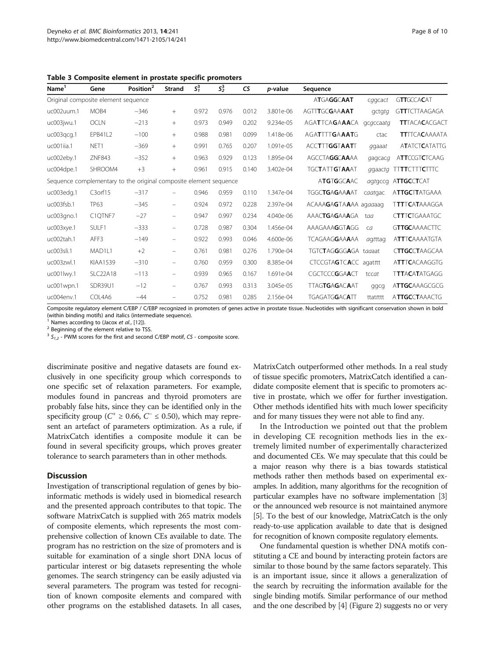<span id="page-7-0"></span>

| Table 3 Composite element in prostate specific promoters |  |  |  |  |
|----------------------------------------------------------|--|--|--|--|
|----------------------------------------------------------|--|--|--|--|

| Name <sup>1</sup>                                                 | Gene            | Position <sup>2</sup> | <b>Strand</b>            | $S_1^3$ | $S_2^3$ | <b>CS</b> | p-value   | Sequence              |           |                       |
|-------------------------------------------------------------------|-----------------|-----------------------|--------------------------|---------|---------|-----------|-----------|-----------------------|-----------|-----------------------|
| Original composite element sequence                               |                 |                       |                          |         |         |           |           | ATGAGGCAAT            | cggcact   | <b>GTTGCCACAT</b>     |
| uc002uum.1                                                        | MOB4            | $-346$                | $+$                      | 0.972   | 0.976   | 0.012     | 3.801e-06 | AGTTTGCGAAAAT         | gctgtg    | <b>GTT</b> TCTTAAGAGA |
| uc003jwu.1                                                        | <b>OCLN</b>     | $-213$                | $+$                      | 0.973   | 0.949   | 0.202     | 9.234e-05 | AGATTCAGAAACA         | gcgccaatg | <b>TTTACACACGACT</b>  |
| uc003gcg.1                                                        | <b>EPB41L2</b>  | $-100$                | $+$                      | 0.988   | 0.981   | 0.099     | 1.418e-06 | AGATTTTGAAATG         | ctac      | <b>TTITCACAAAATA</b>  |
| uc001iia.1                                                        | NET1            | $-369$                | $+$                      | 0.991   | 0.765   | 0.207     | 1.091e-05 | <b>ACCTTTGGTAATT</b>  | ggaaat    | <b>ATATCTCATATTG</b>  |
| uc002eby.1                                                        | <b>ZNF843</b>   | $-352$                | $+$                      | 0.963   | 0.929   | 0.123     | 1.895e-04 | <b>AGCCTAGGCAAAA</b>  | gagcacg   | <b>ATTCCGTCTCAAG</b>  |
| uc004dpe.1                                                        | SHROOM4         | $+3$                  | $+$                      | 0.961   | 0.915   | 0.140     | 3.402e-04 | <b>TGCTATTGTAAAT</b>  | ggaactg   | <b>TTTTCTTTCTTTC</b>  |
| Sequence complementary to the original composite element sequence |                 |                       |                          |         |         |           |           | <b>ATGTGGCAAC</b>     | agtgccg   | <b>ATTGCCTCAT</b>     |
| uc003edg.1                                                        | C3orf15         | $-317$                | $\equiv$                 | 0.946   | 0.959   | 0.110     | 1.347e-04 | <b>TGGCTGAGAAAAT</b>  | caatgac   | <b>ATTGCTTATGAAA</b>  |
| uc003fsb.1                                                        | <b>TP63</b>     | $-345$                | $\overline{\phantom{m}}$ | 0.924   | 0.972   | 0.228     | 2.397e-04 | ACAAAGAGTAAAA agaaaag |           | <b>TTTTCATAAAGGA</b>  |
| uc003gno.1                                                        | C1QTNF7         | $-27$                 | $\equiv$                 | 0.947   | 0.997   | 0.234     | 4.040e-06 | <b>AAACTGAGAAAGA</b>  | taa       | <b>CTTTCTGAAATGC</b>  |
| uc003xye.1                                                        | SULF1           | $-333$                | -                        | 0.728   | 0.987   | 0.304     | 1.456e-04 | AAAGAAAGGTAGG         | ca        | <b>GTTGCAAAACTTC</b>  |
| uc002tah.1                                                        | AFF3            | $-149$                | -                        | 0.922   | 0.993   | 0.046     | 4.600e-06 | <b>TCAGAAGGAAAAA</b>  | agtttag   | <b>ATTTCAAAATGTA</b>  |
| uc003sli.1                                                        | MAD1L1          | $+2$                  | $\equiv$                 | 0.761   | 0.981   | 0.276     | 1.790e-04 | TGTCTAGGGGAGA taaaat  |           | <b>CTTGCCTAAGCAA</b>  |
| uc003zwl.1                                                        | KIAA1539        | $-310$                | Ξ.                       | 0.760   | 0.959   | 0.300     | 8.385e-04 | CTCCGTAGTCACC agatttt |           | <b>ATTTCACAAGGTG</b>  |
| uc001lwy.1                                                        | <b>SLC22A18</b> | $-113$                | Ξ.                       | 0.939   | 0.965   | 0.167     | 1.691e-04 | CGCTCCCGGAACT         | tccat     | <b>TTTACATATGAGG</b>  |
| uc001wpn.1                                                        | SDR39U1         | $-12$                 | $\equiv$                 | 0.767   | 0.993   | 0.313     | 3.045e-05 | <b>TTAGTGAGACAAT</b>  | ggcg      | <b>ATTGCAAAGCGCG</b>  |
| uc004env.1                                                        | COL4A6          | $-44$                 |                          | 0.752   | 0.981   | 0.285     | 2.156e-04 | <b>TGAGATGGACATT</b>  | ttattttt  | ATTGCCTAAACTG         |

Composite regulatory element C/EBP / C/EBP recognized in promoters of genes active in prostate tissue. Nucleotides with significant conservation shown in bold (within binding motifs) and italics (intermediate sequence).

<sup>1</sup> Names according to (Jacox *et al.*, [[12\]](#page-8-0)).<br><sup>2</sup> Beginning of the element relative to TSS.

 $3 S_{1,2}$  - PWM scores for the first and second C/EBP motif, CS - composite score.

discriminate positive and negative datasets are found exclusively in one specificity group which corresponds to one specific set of relaxation parameters. For example, modules found in pancreas and thyroid promoters are probably false hits, since they can be identified only in the specificity group ( $C^+ \ge 0.66$ ,  $C^- \le 0.50$ ), which may represent an artefact of parameters optimization. As a rule, if MatrixCatch identifies a composite module it can be found in several specificity groups, which proves greater tolerance to search parameters than in other methods.

# **Discussion**

Investigation of transcriptional regulation of genes by bioinformatic methods is widely used in biomedical research and the presented approach contributes to that topic. The software MatrixCatch is supplied with 265 matrix models of composite elements, which represents the most comprehensive collection of known CEs available to date. The program has no restriction on the size of promoters and is suitable for examination of a single short DNA locus of particular interest or big datasets representing the whole genomes. The search stringency can be easily adjusted via several parameters. The program was tested for recognition of known composite elements and compared with other programs on the established datasets. In all cases, MatrixCatch outperformed other methods. In a real study of tissue specific promoters, MatrixCatch identified a candidate composite element that is specific to promoters active in prostate, which we offer for further investigation. Other methods identified hits with much lower specificity and for many tissues they were not able to find any.

In the Introduction we pointed out that the problem in developing CE recognition methods lies in the extremely limited number of experimentally characterized and documented CEs. We may speculate that this could be a major reason why there is a bias towards statistical methods rather then methods based on experimental examples. In addition, many algorithms for the recognition of particular examples have no software implementation [[3](#page-8-0)] or the announced web resource is not maintained anymore [[5](#page-8-0)]. To the best of our knowledge, MatrixCatch is the only ready-to-use application available to date that is designed for recognition of known composite regulatory elements.

One fundamental question is whether DNA motifs constituting a CE and bound by interacting protein factors are similar to those bound by the same factors separately. This is an important issue, since it allows a generalization of the search by recruiting the information available for the single binding motifs. Similar performance of our method and the one described by [\[4\]](#page-8-0) (Figure [2](#page-3-0)) suggests no or very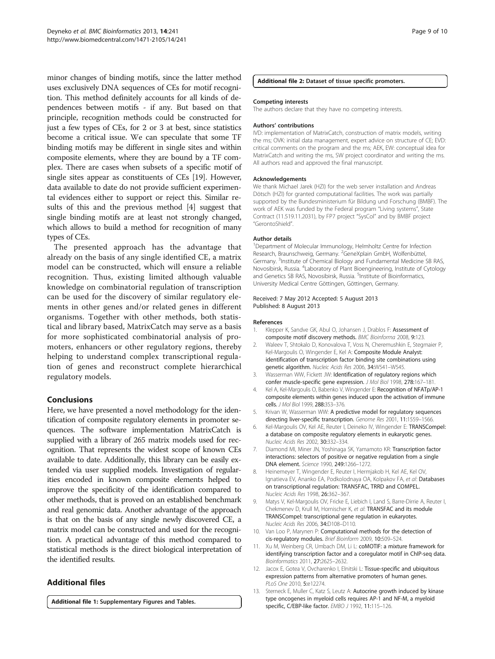<span id="page-8-0"></span>minor changes of binding motifs, since the latter method uses exclusively DNA sequences of CEs for motif recognition. This method definitely accounts for all kinds of dependences between motifs - if any. But based on that principle, recognition methods could be constructed for just a few types of CEs, for 2 or 3 at best, since statistics become a critical issue. We can speculate that some TF binding motifs may be different in single sites and within composite elements, where they are bound by a TF complex. There are cases when subsets of a specific motif of single sites appear as constituents of CEs [\[19](#page-9-0)]. However, data available to date do not provide sufficient experimental evidences either to support or reject this. Similar results of this and the previous method [4] suggest that single binding motifs are at least not strongly changed, which allows to build a method for recognition of many types of CEs.

The presented approach has the advantage that already on the basis of any single identified CE, a matrix model can be constructed, which will ensure a reliable recognition. Thus, existing limited although valuable knowledge on combinatorial regulation of transcription can be used for the discovery of similar regulatory elements in other genes and/or related genes in different organisms. Together with other methods, both statistical and library based, MatrixCatch may serve as a basis for more sophisticated combinatorial analysis of promoters, enhancers or other regulatory regions, thereby helping to understand complex transcriptional regulation of genes and reconstruct complete hierarchical regulatory models.

# Conclusions

Here, we have presented a novel methodology for the identification of composite regulatory elements in promoter sequences. The software implementation MatrixCatch is supplied with a library of 265 matrix models used for recognition. That represents the widest scope of known CEs available to date. Additionally, this library can be easily extended via user supplied models. Investigation of regularities encoded in known composite elements helped to improve the specificity of the identification compared to other methods, that is proved on an established benchmark and real genomic data. Another advantage of the approach is that on the basis of any single newly discovered CE, a matrix model can be constructed and used for the recognition. A practical advantage of this method compared to statistical methods is the direct biological interpretation of the identified results.

# Additional files

[Additional file 1:](http://www.biomedcentral.com/content/supplementary/1471-2105-14-241-S1.pdf) Supplementary Figures and Tables.

#### [Additional file 2:](http://www.biomedcentral.com/content/supplementary/1471-2105-14-241-S2.zip) Dataset of tissue specific promoters.

#### Competing interests

The authors declare that they have no competing interests.

#### Authors' contributions

IVD: implementation of MatrixCatch, construction of matrix models, writing the ms; OVK: initial data management, expert advice on structure of CE; EVD: critical comments on the program and the ms; AEK, EW: conceptual idea for MatrixCatch and writing the ms, SW project coordinator and writing the ms. All authors read and approved the final manuscript.

#### Acknowledgements

We thank Michael Jarek (HZI) for the web server installation and Andreas Dötsch (HZI) for granted computational facilities. The work was partially supported by the Bundesministerium für Bildung und Forschung (BMBF). The work of AEK was funded by the Federal program "Living systems", State Contract (11.519.11.2031), by FP7 project "SysCol" and by BMBF project "GerontoShield".

#### Author details

<sup>1</sup>Department of Molecular Immunology, Helmholtz Centre for Infection Research, Braunschweig, Germany. <sup>2</sup>GeneXplain GmbH, Wolfenbüttel, Germany.<sup>3</sup> Institute of Chemical Biology and Fundamental Medicine SB RAS Novosibirsk, Russia. <sup>4</sup>Laboratory of Plant Bioengineering, Institute of Cytology and Genetics SB RAS, Novosibirsk, Russia. <sup>5</sup>Institute of Bioinformatics University Medical Centre Göttingen, Göttingen, Germany.

#### Received: 7 May 2012 Accepted: 5 August 2013 Published: 8 August 2013

#### References

- 1. Klepper K, Sandve GK, Abul O, Johansen J, Drablos F: Assessment of composite motif discovery methods. BMC Bioinforma 2008, 9:123.
- 2. Waleev T, Shtokalo D, Konovalova T, Voss N, Cheremushkin E, Stegmaier P, Kel-Margoulis O, Wingender E, Kel A: Composite Module Analyst: identification of transcription factor binding site combinations using genetic algorithm. Nucleic Acids Res 2006, 34:W541–W545.
- 3. Wasserman WW, Fickett JW: Identification of regulatory regions which confer muscle-specific gene expression. J Mol Biol 1998, 278:167-181.
- 4. Kel A, Kel-Margoulis O, Babenko V, Wingender E: Recognition of NFATp/AP-1 composite elements within genes induced upon the activation of immune cells. J Mol Biol 1999, 288:353–376.
- 5. Krivan W, Wasserman WW: A predictive model for regulatory sequences directing liver-specific transcription. Genome Res 2001, 11:1559–1566.
- 6. Kel-Margoulis OV, Kel AE, Reuter I, Deineko IV, Wingender E: TRANSCompel: a database on composite regulatory elements in eukaryotic genes. Nucleic Acids Res 2002, 30:332–334.
- 7. Diamond MI, Miner JN, Yoshinaga SK, Yamamoto KR: Transcription factor interactions: selectors of positive or negative regulation from a single DNA element. Science 1990, 249:1266–1272.
- 8. Heinemeyer T, Wingender E, Reuter I, Hermjakob H, Kel AE, Kel OV, Ignatieva EV, Ananko EA, Podkolodnaya OA, Kolpakov FA, et al: Databases on transcriptional regulation: TRANSFAC, TRRD and COMPEL. Nucleic Acids Res 1998, 26:362–367.
- 9. Matys V, Kel-Margoulis OV, Fricke E, Liebich I, Land S, Barre-Dirrie A, Reuter I, Chekmenev D, Krull M, Hornischer K, et al: TRANSFAC and its module TRANSCompel: transcriptional gene regulation in eukaryotes. Nucleic Acids Res 2006, 34:D108–D110.
- 10. Van Loo P, Marynen P: Computational methods for the detection of cis-regulatory modules. Brief Bioinform 2009, 10:509–524.
- 11. Xu M, Weinberg CR, Umbach DM, Li L: coMOTIF: a mixture framework for identifying transcription factor and a coregulator motif in ChIP-seq data. Bioinformatics 2011, 27:2625–2632.
- 12. Jacox E, Gotea V, Ovcharenko I, Elnitski L: Tissue-specific and ubiquitous expression patterns from alternative promoters of human genes. PLoS One 2010, 5:e12274.
- 13. Sterneck E, Muller C, Katz S, Leutz A: Autocrine growth induced by kinase type oncogenes in myeloid cells requires AP-1 and NF-M, a myeloid specific, C/EBP-like factor. EMBO J 1992, 11:115-126.